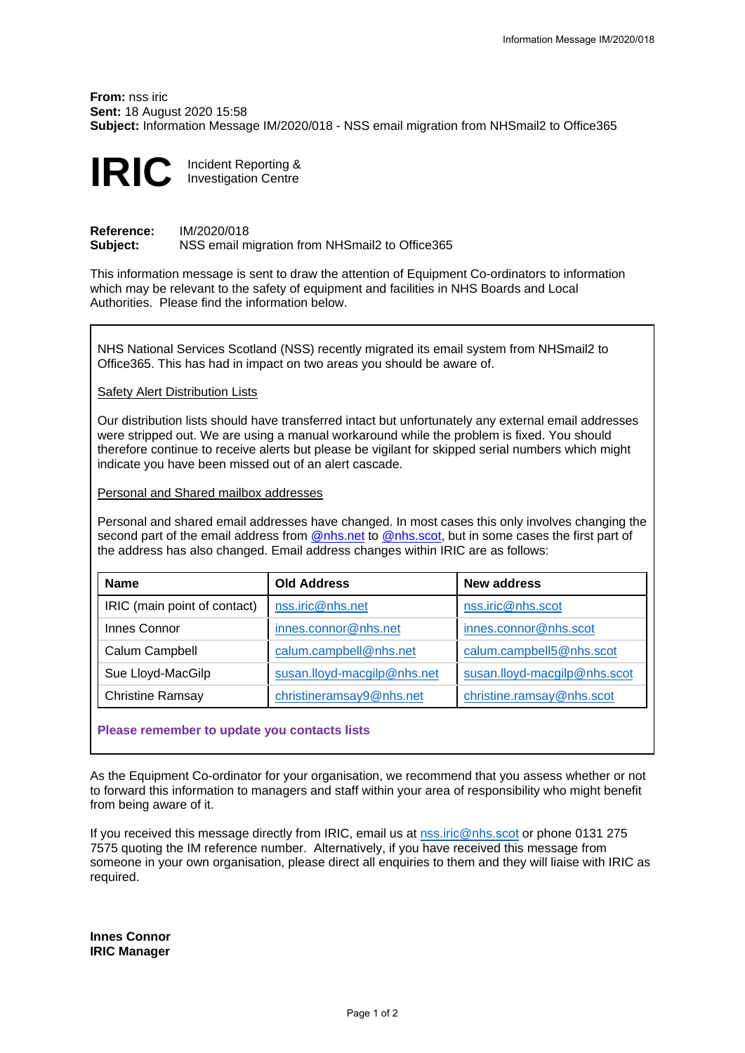**From:** nss iric **Sent:** 18 August 2020 15:58 **Subject:** Information Message IM/2020/018 - NSS email migration from NHSmail2 to Office365



**Reference:** IM/2020/018 **Subject:** NSS email migration from NHSmail2 to Office365

This information message is sent to draw the attention of Equipment Co-ordinators to information which may be relevant to the safety of equipment and facilities in NHS Boards and Local Authorities. Please find the information below.

NHS National Services Scotland (NSS) recently migrated its email system from NHSmail2 to Office365. This has had in impact on two areas you should be aware of.

Safety Alert Distribution Lists

Our distribution lists should have transferred intact but unfortunately any external email addresses were stripped out. We are using a manual workaround while the problem is fixed. You should therefore continue to receive alerts but please be vigilant for skipped serial numbers which might indicate you have been missed out of an alert cascade.

Personal and Shared mailbox addresses

Personal and shared email addresses have changed. In most cases this only involves changing the second part of the email address from @nhs.net to @nhs.scot, but in some cases the first part of the address has also changed. Email address changes within IRIC are as follows:

| <b>Name</b>                  | <b>Old Address</b>          | New address                  |
|------------------------------|-----------------------------|------------------------------|
| IRIC (main point of contact) | nss.iric@nhs.net            | nss.iric@nhs.scot            |
| Innes Connor                 | innes.connor@nhs.net        | innes.connor@nhs.scot        |
| Calum Campbell               | calum.campbell@nhs.net      | calum.campbell5@nhs.scot     |
| Sue Lloyd-MacGilp            | susan.lloyd-macgilp@nhs.net | susan.lloyd-macgilp@nhs.scot |
| <b>Christine Ramsay</b>      | christineramsay9@nhs.net    | christine.ramsay@nhs.scot    |

**Please remember to update you contacts lists** 

As the Equipment Co-ordinator for your organisation, we recommend that you assess whether or not to forward this information to managers and staff within your area of responsibility who might benefit from being aware of it.

If you received this message directly from IRIC, email us at [nss.iric@nhs.](mailto:nss.iric@nhs.net)scot or phone 0131 275 7575 quoting the IM reference number. Alternatively, if you have received this message from someone in your own organisation, please direct all enquiries to them and they will liaise with IRIC as required.

**Innes Connor IRIC Manager**